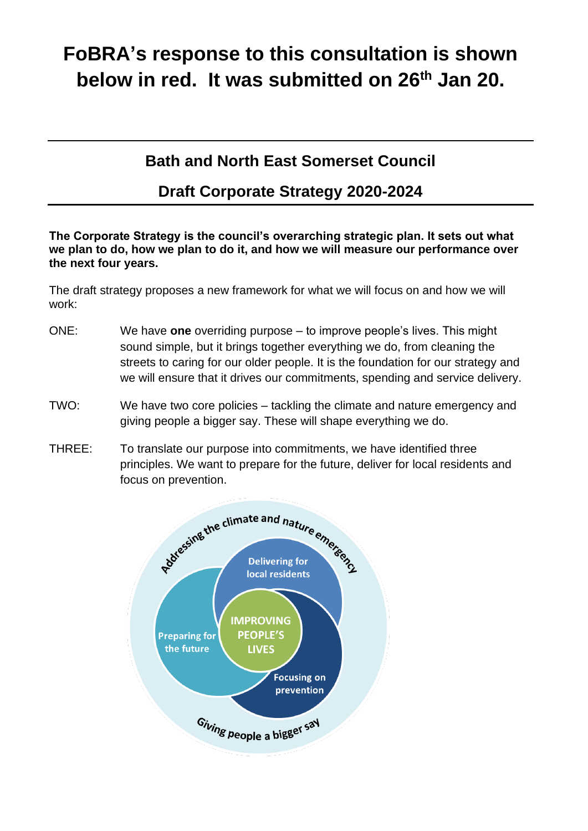# **FoBRA's response to this consultation is shown below in red. It was submitted on 26th Jan 20.**

# **Bath and North East Somerset Council**

# **Draft Corporate Strategy 2020-2024**

**The Corporate Strategy is the council's overarching strategic plan. It sets out what we plan to do, how we plan to do it, and how we will measure our performance over the next four years.** 

The draft strategy proposes a new framework for what we will focus on and how we will work:

- ONE: We have **one** overriding purpose to improve people's lives. This might sound simple, but it brings together everything we do, from cleaning the streets to caring for our older people. It is the foundation for our strategy and we will ensure that it drives our commitments, spending and service delivery.
- TWO: We have two core policies tackling the climate and nature emergency and giving people a bigger say. These will shape everything we do.
- THREE: To translate our purpose into commitments, we have identified three principles. We want to prepare for the future, deliver for local residents and focus on prevention.

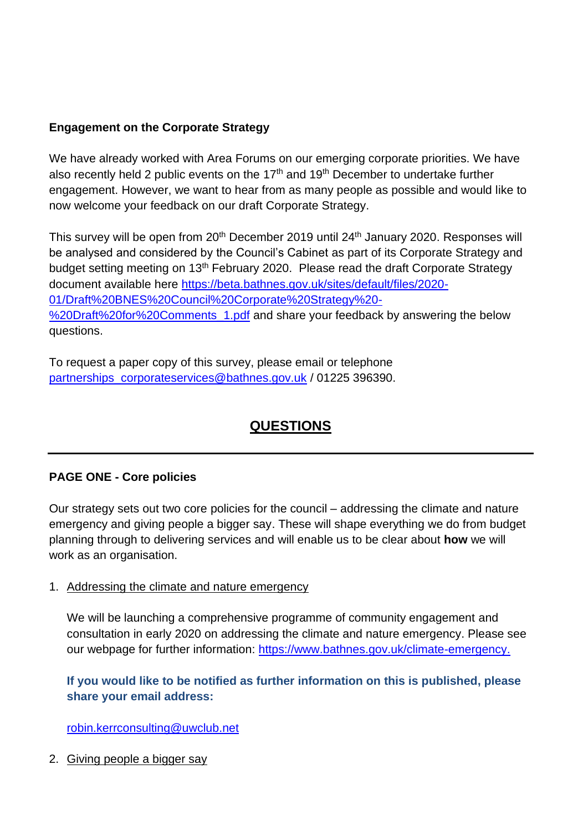# **Engagement on the Corporate Strategy**

We have already worked with Area Forums on our emerging corporate priorities. We have also recently held 2 public events on the 17<sup>th</sup> and 19<sup>th</sup> December to undertake further engagement. However, we want to hear from as many people as possible and would like to now welcome your feedback on our draft Corporate Strategy.

This survey will be open from 20<sup>th</sup> December 2019 until 24<sup>th</sup> January 2020. Responses will be analysed and considered by the Council's Cabinet as part of its Corporate Strategy and budget setting meeting on 13<sup>th</sup> February 2020. Please read the draft Corporate Strategy document available here [https://beta.bathnes.gov.uk/sites/default/files/2020-](https://beta.bathnes.gov.uk/sites/default/files/2020-01/Draft%20BNES%20Council%20Corporate%20Strategy%20-%20Draft%20for%20Comments_1.pdf) [01/Draft%20BNES%20Council%20Corporate%20Strategy%20-](https://beta.bathnes.gov.uk/sites/default/files/2020-01/Draft%20BNES%20Council%20Corporate%20Strategy%20-%20Draft%20for%20Comments_1.pdf) [%20Draft%20for%20Comments\\_1.pdf](https://beta.bathnes.gov.uk/sites/default/files/2020-01/Draft%20BNES%20Council%20Corporate%20Strategy%20-%20Draft%20for%20Comments_1.pdf) and share your feedback by answering the below questions.

To request a paper copy of this survey, please email or telephone [partnerships\\_corporateservices@bathnes.gov.uk](mailto:partnerships_corporateservices@bathnes.gov.uk) / 01225 396390.

# **QUESTIONS**

# **PAGE ONE - Core policies**

Our strategy sets out two core policies for the council – addressing the climate and nature emergency and giving people a bigger say. These will shape everything we do from budget planning through to delivering services and will enable us to be clear about **how** we will work as an organisation.

#### 1. Addressing the climate and nature emergency

We will be launching a comprehensive programme of community engagement and consultation in early 2020 on addressing the climate and nature emergency. Please see our webpage for further information: [https://www.bathnes.gov.uk/climate-emergency.](https://www.bathnes.gov.uk/climate-emergency)

# **If you would like to be notified as further information on this is published, please share your email address:**

[robin.kerrconsulting@uwclub.net](mailto:robin.kerrconsulting@uwclub.net)

2. Giving people a bigger say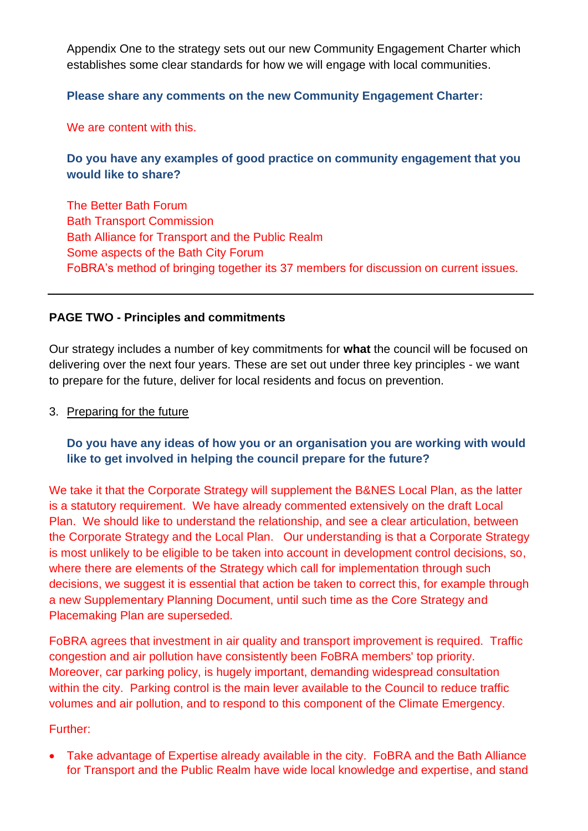Appendix One to the strategy sets out our new Community Engagement Charter which establishes some clear standards for how we will engage with local communities.

#### **Please share any comments on the new Community Engagement Charter:**

We are content with this.

# **Do you have any examples of good practice on community engagement that you would like to share?**

The Better Bath Forum Bath Transport Commission Bath Alliance for Transport and the Public Realm Some aspects of the Bath City Forum FoBRA's method of bringing together its 37 members for discussion on current issues.

### **PAGE TWO - Principles and commitments**

Our strategy includes a number of key commitments for **what** the council will be focused on delivering over the next four years. These are set out under three key principles - we want to prepare for the future, deliver for local residents and focus on prevention.

#### 3. Preparing for the future

# **Do you have any ideas of how you or an organisation you are working with would like to get involved in helping the council prepare for the future?**

We take it that the Corporate Strategy will supplement the B&NES Local Plan, as the latter is a statutory requirement. We have already commented extensively on the draft Local Plan. We should like to understand the relationship, and see a clear articulation, between the Corporate Strategy and the Local Plan. Our understanding is that a Corporate Strategy is most unlikely to be eligible to be taken into account in development control decisions, so, where there are elements of the Strategy which call for implementation through such decisions, we suggest it is essential that action be taken to correct this, for example through a new Supplementary Planning Document, until such time as the Core Strategy and Placemaking Plan are superseded.

FoBRA agrees that investment in air quality and transport improvement is required. Traffic congestion and air pollution have consistently been FoBRA members' top priority. Moreover, car parking policy, is hugely important, demanding widespread consultation within the city. Parking control is the main lever available to the Council to reduce traffic volumes and air pollution, and to respond to this component of the Climate Emergency.

#### Further:

• Take advantage of Expertise already available in the city. FoBRA and the Bath Alliance for Transport and the Public Realm have wide local knowledge and expertise, and stand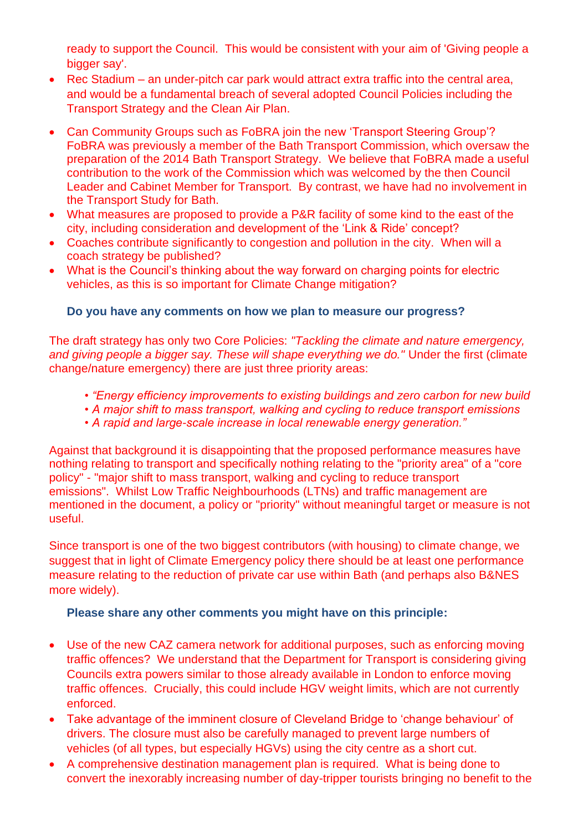ready to support the Council. This would be consistent with your aim of 'Giving people a bigger say'.

- Rec Stadium an under-pitch car park would attract extra traffic into the central area, and would be a fundamental breach of several adopted Council Policies including the Transport Strategy and the Clean Air Plan.
- Can Community Groups such as FoBRA join the new 'Transport Steering Group'? FoBRA was previously a member of the Bath Transport Commission, which oversaw the preparation of the 2014 Bath Transport Strategy. We believe that FoBRA made a useful contribution to the work of the Commission which was welcomed by the then Council Leader and Cabinet Member for Transport. By contrast, we have had no involvement in the Transport Study for Bath.
- What measures are proposed to provide a P&R facility of some kind to the east of the city, including consideration and development of the 'Link & Ride' concept?
- Coaches contribute significantly to congestion and pollution in the city. When will a coach strategy be published?
- What is the Council's thinking about the way forward on charging points for electric vehicles, as this is so important for Climate Change mitigation?

# **Do you have any comments on how we plan to measure our progress?**

The draft strategy has only two Core Policies: *"Tackling the climate and nature emergency,*  and giving people a bigger say. These will shape everything we do." Under the first (climate change/nature emergency) there are just three priority areas:

- *"Energy efficiency improvements to existing buildings and zero carbon for new build*
- *A major shift to mass transport, walking and cycling to reduce transport emissions*
- *A rapid and large-scale increase in local renewable energy generation."*

Against that background it is disappointing that the proposed performance measures have nothing relating to transport and specifically nothing relating to the "priority area" of a "core policy" - "major shift to mass transport, walking and cycling to reduce transport emissions". Whilst Low Traffic Neighbourhoods (LTNs) and traffic management are mentioned in the document, a policy or "priority" without meaningful target or measure is not useful.

Since transport is one of the two biggest contributors (with housing) to climate change, we suggest that in light of Climate Emergency policy there should be at least one performance measure relating to the reduction of private car use within Bath (and perhaps also B&NES more widely).

# **Please share any other comments you might have on this principle:**

- Use of the new CAZ camera network for additional purposes, such as enforcing moving traffic offences? We understand that the Department for Transport is considering giving Councils extra powers similar to those already available in London to enforce moving traffic offences. Crucially, this could include HGV weight limits, which are not currently enforced.
- Take advantage of the imminent closure of Cleveland Bridge to 'change behaviour' of drivers. The closure must also be carefully managed to prevent large numbers of vehicles (of all types, but especially HGVs) using the city centre as a short cut.
- A comprehensive destination management plan is required. What is being done to convert the inexorably increasing number of day-tripper tourists bringing no benefit to the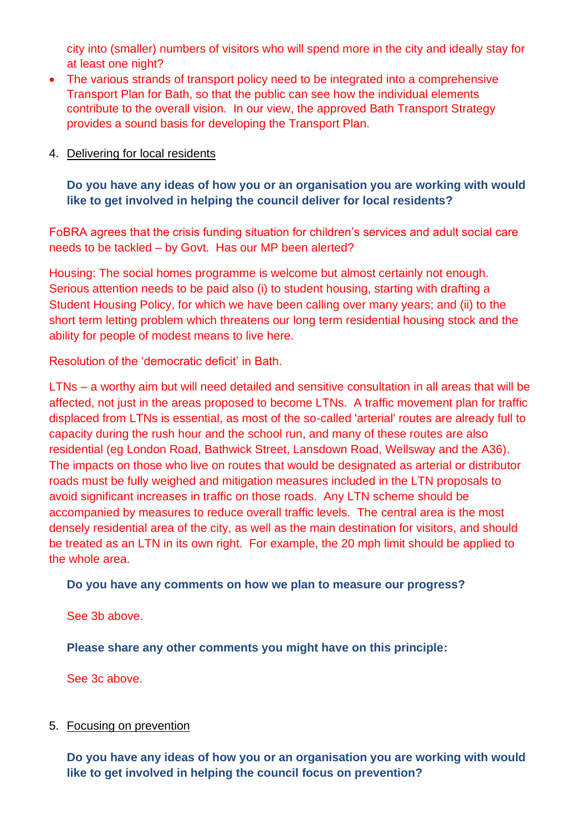city into (smaller) numbers of visitors who will spend more in the city and ideally stay for at least one night?

- The various strands of transport policy need to be integrated into a comprehensive Transport Plan for Bath, so that the public can see how the individual elements contribute to the overall vision. In our view, the approved Bath Transport Strategy provides a sound basis for developing the Transport Plan.
- 4. Delivering for local residents

**Do you have any ideas of how you or an organisation you are working with would like to get involved in helping the council deliver for local residents?**

FoBRA agrees that the crisis funding situation for children's services and adult social care needs to be tackled – by Govt. Has our MP been alerted?

Housing: The social homes programme is welcome but almost certainly not enough. Serious attention needs to be paid also (i) to student housing, starting with drafting a Student Housing Policy, for which we have been calling over many years; and (ii) to the short term letting problem which threatens our long term residential housing stock and the ability for people of modest means to live here.

Resolution of the 'democratic deficit' in Bath.

LTNs – a worthy aim but will need detailed and sensitive consultation in all areas that will be affected, not just in the areas proposed to become LTNs. A traffic movement plan for traffic displaced from LTNs is essential, as most of the so-called 'arterial' routes are already full to capacity during the rush hour and the school run, and many of these routes are also residential (eg London Road, Bathwick Street, Lansdown Road, Wellsway and the A36). The impacts on those who live on routes that would be designated as arterial or distributor roads must be fully weighed and mitigation measures included in the LTN proposals to avoid significant increases in traffic on those roads. Any LTN scheme should be accompanied by measures to reduce overall traffic levels. The central area is the most densely residential area of the city, as well as the main destination for visitors, and should be treated as an LTN in its own right. For example, the 20 mph limit should be applied to the whole area.

#### **Do you have any comments on how we plan to measure our progress?**

See 3b above.

**Please share any other comments you might have on this principle:**

See 3c above.

#### 5. Focusing on prevention

**Do you have any ideas of how you or an organisation you are working with would like to get involved in helping the council focus on prevention?**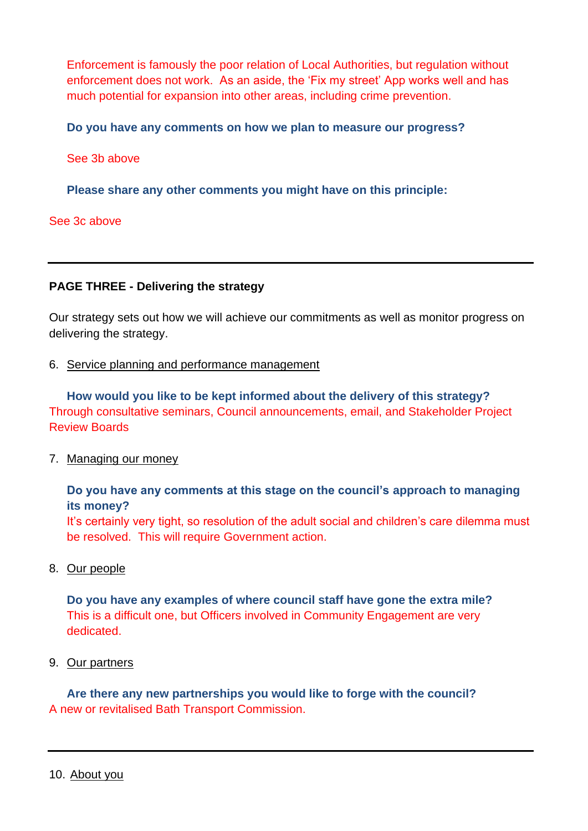Enforcement is famously the poor relation of Local Authorities, but regulation without enforcement does not work. As an aside, the 'Fix my street' App works well and has much potential for expansion into other areas, including crime prevention.

**Do you have any comments on how we plan to measure our progress?**

See 3b above

**Please share any other comments you might have on this principle:**

#### See 3c above

#### **PAGE THREE - Delivering the strategy**

Our strategy sets out how we will achieve our commitments as well as monitor progress on delivering the strategy.

6. Service planning and performance management

**How would you like to be kept informed about the delivery of this strategy?** Through consultative seminars, Council announcements, email, and Stakeholder Project Review Boards

7. Managing our money

### **Do you have any comments at this stage on the council's approach to managing its money?**

It's certainly very tight, so resolution of the adult social and children's care dilemma must be resolved. This will require Government action.

8. Our people

**Do you have any examples of where council staff have gone the extra mile?** This is a difficult one, but Officers involved in Community Engagement are very dedicated.

9. Our partners

**Are there any new partnerships you would like to forge with the council?** A new or revitalised Bath Transport Commission.